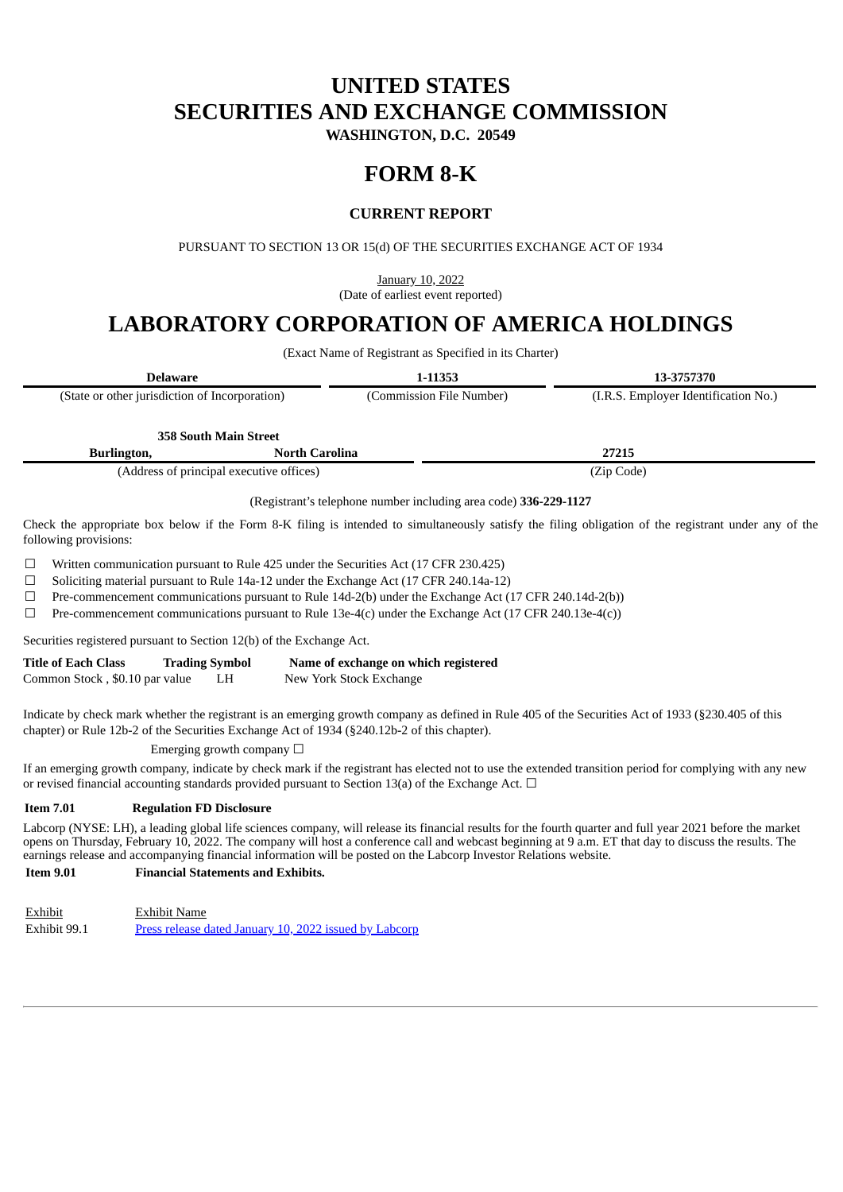# **UNITED STATES SECURITIES AND EXCHANGE COMMISSION**

**WASHINGTON, D.C. 20549**

# **FORM 8-K**

## **CURRENT REPORT**

PURSUANT TO SECTION 13 OR 15(d) OF THE SECURITIES EXCHANGE ACT OF 1934

January 10, 2022 (Date of earliest event reported)

# **LABORATORY CORPORATION OF AMERICA HOLDINGS**

(Exact Name of Registrant as Specified in its Charter)

| <b>Delaware</b> |                                                |                       | 1-11353                  | 13-3757370                           |  |
|-----------------|------------------------------------------------|-----------------------|--------------------------|--------------------------------------|--|
|                 | (State or other jurisdiction of Incorporation) |                       | (Commission File Number) | (I.R.S. Employer Identification No.) |  |
|                 | <b>358 South Main Street</b>                   |                       |                          |                                      |  |
|                 | Burlington,                                    | <b>North Carolina</b> |                          | 27215                                |  |

(Address of principal executive offices) (Zip Code)

(Registrant's telephone number including area code) **336-229-1127**

Check the appropriate box below if the Form 8-K filing is intended to simultaneously satisfy the filing obligation of the registrant under any of the following provisions:

☐ Written communication pursuant to Rule 425 under the Securities Act (17 CFR 230.425)

☐ Soliciting material pursuant to Rule 14a-12 under the Exchange Act (17 CFR 240.14a-12)

☐ Pre-commencement communications pursuant to Rule 14d-2(b) under the Exchange Act (17 CFR 240.14d-2(b))

 $\Box$  Pre-commencement communications pursuant to Rule 13e-4(c) under the Exchange Act (17 CFR 240.13e-4(c))

Securities registered pursuant to Section 12(b) of the Exchange Act.

| <b>Title of Each Class</b>     | <b>Trading Symbol</b> | Name of exchange on which registered |
|--------------------------------|-----------------------|--------------------------------------|
| Common Stock, \$0.10 par value | LH                    | New York Stock Exchange              |

Indicate by check mark whether the registrant is an emerging growth company as defined in Rule 405 of the Securities Act of 1933 (§230.405 of this chapter) or Rule 12b-2 of the Securities Exchange Act of 1934 (§240.12b-2 of this chapter).

Emerging growth company  $\Box$ 

If an emerging growth company, indicate by check mark if the registrant has elected not to use the extended transition period for complying with any new or revised financial accounting standards provided pursuant to Section 13(a) of the Exchange Act.  $\Box$ 

### **Item 7.01 Regulation FD Disclosure**

Labcorp (NYSE: LH), a leading global life sciences company, will release its financial results for the fourth quarter and full year 2021 before the market opens on Thursday, February 10, 2022. The company will host a conference call and webcast beginning at 9 a.m. ET that day to discuss the results. The earnings release and accompanying financial information will be posted on the Labcorp Investor Relations website.

## **Item 9.01 Financial Statements and Exhibits.**

Exhibit Exhibit Name Exhibit 99.1 Press [release](#page-2-0) dated [January](#page-2-0) 10, [2022](#page-2-0) issued by [Labcorp](#page-2-0)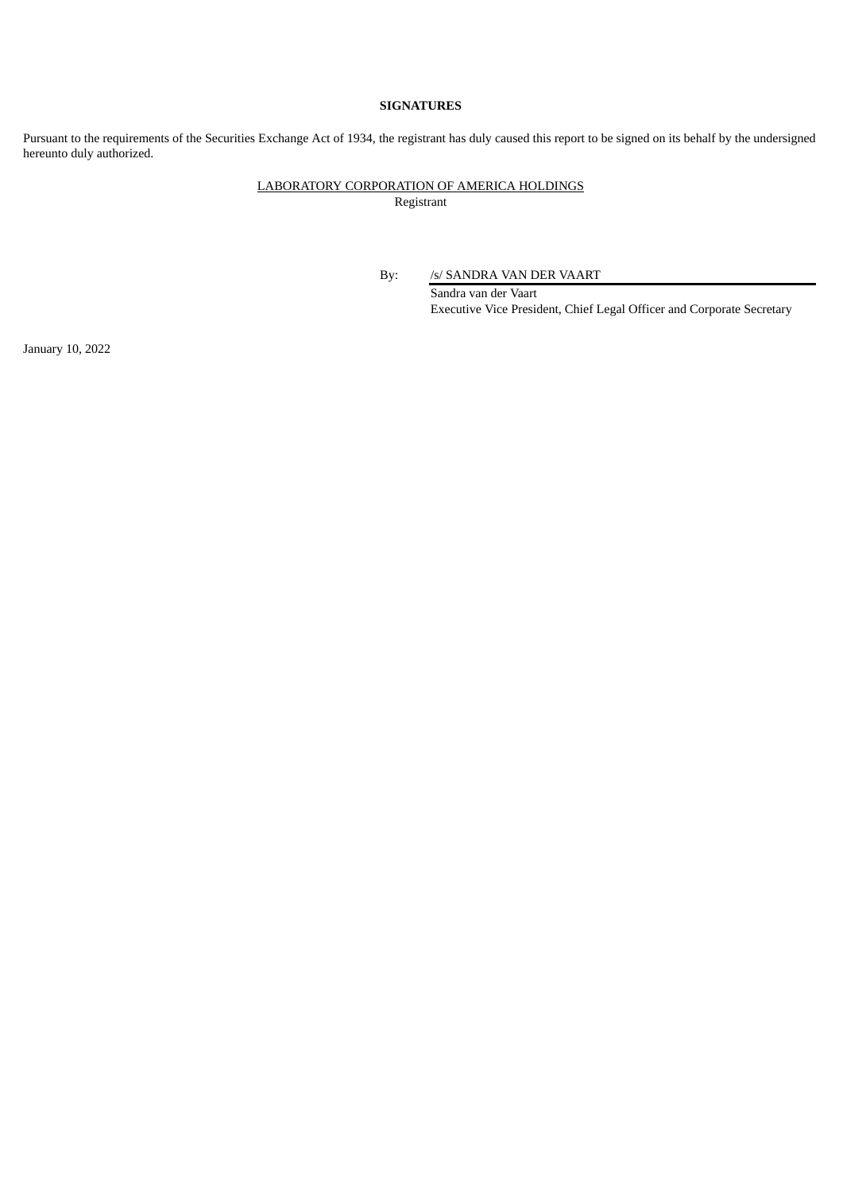### **SIGNATURES**

Pursuant to the requirements of the Securities Exchange Act of 1934, the registrant has duly caused this report to be signed on its behalf by the undersigned hereunto duly authorized.

# LABORATORY CORPORATION OF AMERICA HOLDINGS

Registrant

By: /s/ SANDRA VAN DER VAART

Sandra van der Vaart Executive Vice President, Chief Legal Officer and Corporate Secretary

January 10, 2022